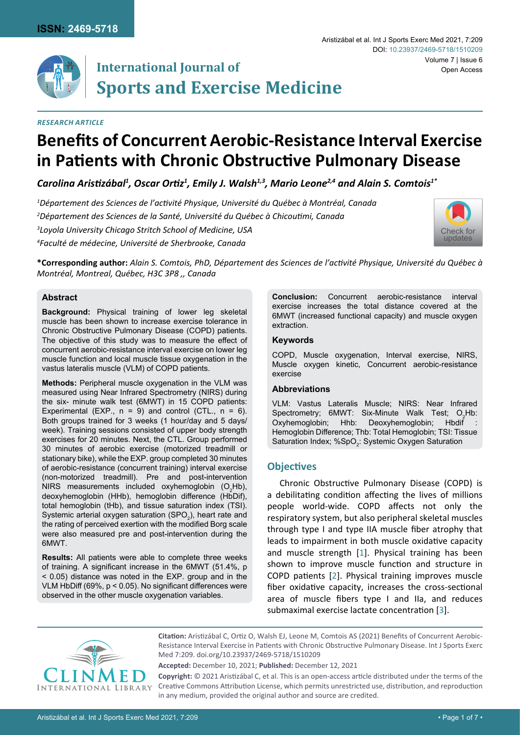

# **International Journal of Sports and Exercise Medicine**

## *Research Article*

# **Benefits of Concurrent Aerobic-Resistance Interval Exercise in Patients with Chronic Obstructive Pulmonary Disease**

Carolina Aristizábal<sup>1</sup>, Oscar Ortiz<sup>1</sup>, Emily J. Walsh<sup>1,3</sup>, Mario Leone<sup>2,4</sup> and Alain S. Comtois<sup>1\*</sup>

 *Département des Sciences de l'activité Physique, Université du Québec à Montréal, Canada Département des Sciences de la Santé, Université du Québec à Chicoutimi, Canada Loyola University Chicago Stritch School of Medicine, USA Faculté de médecine, Université de Sherbrooke, Canada* 



**\*Corresponding author:** *Alain S. Comtois, PhD, Département des Sciences de l'activité Physique, Université du Québec à Montréal, Montreal, Québec, H3C 3P8 ,, Canada*

#### **Abstract**

**Background:** Physical training of lower leg skeletal muscle has been shown to increase exercise tolerance in Chronic Obstructive Pulmonary Disease (COPD) patients. The objective of this study was to measure the effect of concurrent aerobic-resistance interval exercise on lower leg muscle function and local muscle tissue oxygenation in the vastus lateralis muscle (VLM) of COPD patients.

**Methods:** Peripheral muscle oxygenation in the VLM was measured using Near Infrared Spectrometry (NIRS) during the six- minute walk test (6MWT) in 15 COPD patients: Experimental (EXP.,  $n = 9$ ) and control (CTL.,  $n = 6$ ). Both groups trained for 3 weeks (1 hour/day and 5 days/ week). Training sessions consisted of upper body strength exercises for 20 minutes. Next, the CTL. Group performed 30 minutes of aerobic exercise (motorized treadmill or stationary bike), while the EXP. group completed 30 minutes of aerobic-resistance (concurrent training) interval exercise (non-motorized treadmill). Pre and post-intervention NIRS measurements included oxyhemoglobin  $(O_2Hb)$ , deoxyhemoglobin (HHb), hemoglobin difference (HbDif), total hemoglobin (tHb), and tissue saturation index (TSI). Systemic arterial oxygen saturation (SPO $_{\rm 2}$ ), heart rate and the rating of perceived exertion with the modified Borg scale were also measured pre and post-intervention during the 6MWT.

**Results:** All patients were able to complete three weeks of training. A significant increase in the 6MWT (51.4%, p < 0.05) distance was noted in the EXP. group and in the VLM HbDiff (69%, p < 0.05). No significant differences were observed in the other muscle oxygenation variables.

**Conclusion:** Concurrent aerobic-resistance interval exercise increases the total distance covered at the 6MWT (increased functional capacity) and muscle oxygen extraction.

#### **Keywords**

COPD, Muscle oxygenation, Interval exercise, NIRS, Muscle oxygen kinetic, Concurrent aerobic-resistance exercise

#### **Abbreviations**

VLM: Vastus Lateralis Muscle; NIRS: Near Infrared Spectrometry;  $6MWT: Six-Minute$  Walk Test;  $O_2Hb$ : Oxyhemoglobin; Hhb: Deoxyhemoglobin; Hbdif Hemoglobin Difference; Thb: Total Hemoglobin; TSI: Tissue Saturation Index; % $SpO_2$ : Systemic Oxygen Saturation

# **Objectives**

Chronic Obstructive Pulmonary Disease (COPD) is a debilitating condition affecting the lives of millions people world-wide. COPD affects not only the respiratory system, but also peripheral skeletal muscles through type I and type IIA muscle fiber atrophy that leads to impairment in both muscle oxidative capacity and muscle strength [\[1](#page-6-0)]. Physical training has been shown to improve muscle function and structure in COPD patients [\[2\]](#page-6-1). Physical training improves muscle fiber oxidative capacity, increases the cross-sectional area of muscle fibers type I and IIa, and reduces submaximal exercise lactate concentration [[3](#page-6-2)].



**Citation:** Aristizábal C, Ortiz O, Walsh EJ, Leone M, Comtois AS (2021) Benefits of Concurrent Aerobic-Resistance Interval Exercise in Patients with Chronic Obstructive Pulmonary Disease. Int J Sports Exerc Med 7:209. [doi.org/10.23937/2469-5718/1510209](https://doi.org/10.23937/2469-5718/1510209)

**Accepted:** December 10, 2021; **Published:** December 12, 2021

**Copyright:** © 2021 Aristizábal C, et al. This is an open-access article distributed under the terms of the Creative Commons Attribution License, which permits unrestricted use, distribution, and reproduction in any medium, provided the original author and source are credited.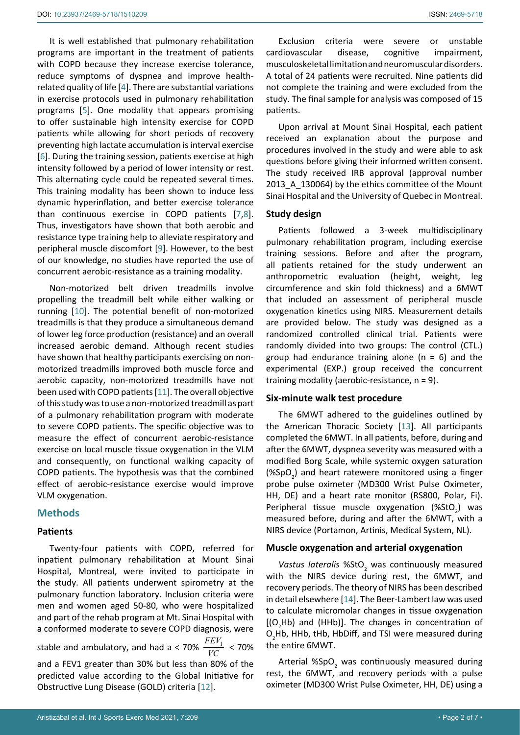It is well established that pulmonary rehabilitation programs are important in the treatment of patients with COPD because they increase exercise tolerance, reduce symptoms of dyspnea and improve healthrelated quality of life [[4](#page-6-5)]. There are substantial variations in exercise protocols used in pulmonary rehabilitation programs [\[5\]](#page-6-6). One modality that appears promising to offer sustainable high intensity exercise for COPD patients while allowing for short periods of recovery preventing high lactate accumulation is interval exercise [[6](#page-6-7)]. During the training session, patients exercise at high intensity followed by a period of lower intensity or rest. This alternating cycle could be repeated several times. This training modality has been shown to induce less dynamic hyperinflation, and better exercise tolerance than continuous exercise in COPD patients [[7](#page-6-8),[8](#page-6-9)]. Thus, investigators have shown that both aerobic and resistance type training help to alleviate respiratory and peripheral muscle discomfort [[9](#page-6-10)]. However, to the best of our knowledge, no studies have reported the use of concurrent aerobic-resistance as a training modality.

Non-motorized belt driven treadmills involve propelling the treadmill belt while either walking or running [\[10](#page-6-11)]. The potential benefit of non-motorized treadmills is that they produce a simultaneous demand of lower leg force production (resistance) and an overall increased aerobic demand. Although recent studies have shown that healthy participants exercising on nonmotorized treadmills improved both muscle force and aerobic capacity, non-motorized treadmills have not been used with COPD patients [\[11](#page-6-12)]. The overall objective of this study was to use a non-motorized treadmill as part of a pulmonary rehabilitation program with moderate to severe COPD patients. The specific objective was to measure the effect of concurrent aerobic-resistance exercise on local muscle tissue oxygenation in the VLM and consequently, on functional walking capacity of COPD patients. The hypothesis was that the combined effect of aerobic-resistance exercise would improve VLM oxygenation.

# **Methods**

#### **Patients**

Twenty-four patients with COPD, referred for inpatient pulmonary rehabilitation at Mount Sinai Hospital, Montreal, were invited to participate in the study. All patients underwent spirometry at the pulmonary function laboratory. Inclusion criteria were men and women aged 50-80, who were hospitalized and part of the rehab program at Mt. Sinai Hospital with a conformed moderate to severe COPD diagnosis, were stable and ambulatory, and had a < 70%  $\frac{FEV_1}{VC}$  < 70% and a FEV1 greater than 30% but less than 80% of the predicted value according to the Global Initiative for Obstructive Lung Disease (GOLD) criteria [[12\]](#page-6-13).

Exclusion criteria were severe or unstable cardiovascular disease, cognitive impairment, musculoskeletal limitation and neuromuscular disorders. A total of 24 patients were recruited. Nine patients did not complete the training and were excluded from the study. The final sample for analysis was composed of 15 patients.

Upon arrival at Mount Sinai Hospital, each patient received an explanation about the purpose and procedures involved in the study and were able to ask questions before giving their informed written consent. The study received IRB approval (approval number 2013\_A\_130064) by the ethics committee of the Mount Sinai Hospital and the University of Quebec in Montreal.

#### **Study design**

Patients followed a 3-week multidisciplinary pulmonary rehabilitation program, including exercise training sessions. Before and after the program, all patients retained for the study underwent an anthropometric evaluation (height, weight, leg circumference and skin fold thickness) and a 6MWT that included an assessment of peripheral muscle oxygenation kinetics using NIRS. Measurement details are provided below. The study was designed as a randomized controlled clinical trial. Patients were randomly divided into two groups: The control (CTL.) group had endurance training alone ( $n = 6$ ) and the experimental (EXP.) group received the concurrent training modality (aerobic-resistance, n = 9).

### **Six-minute walk test procedure**

The 6MWT adhered to the guidelines outlined by the American Thoracic Society [\[13](#page-6-3)]. All participants completed the 6MWT. In all patients, before, during and after the 6MWT, dyspnea severity was measured with a modified Borg Scale, while systemic oxygen saturation  $(\%SpO<sub>2</sub>)$  and heart ratewere monitored using a finger probe pulse oximeter (MD300 Wrist Pulse Oximeter, HH, DE) and a heart rate monitor (RS800, Polar, Fi). Peripheral tissue muscle oxygenation (%StO<sub>2</sub>) was measured before, during and after the 6MWT, with a NIRS device (Portamon, Artinis, Medical System, NL).

#### **Muscle oxygenation and arterial oxygenation**

Vastus lateralis %StO<sub>2</sub> was continuously measured with the NIRS device during rest, the 6MWT, and recovery periods. The theory of NIRS has been described in detail elsewhere [\[14\]](#page-6-4). The Beer-Lambert law was used to calculate micromolar changes in tissue oxygenation  $[O_2Hb]$  and (HHb)]. The changes in concentration of  $O_2$ Hb, HHb, tHb, HbDiff, and TSI were measured during the entire 6MWT.

Arterial %SpO<sub>2</sub> was continuously measured during rest, the 6MWT, and recovery periods with a pulse oximeter (MD300 Wrist Pulse Oximeter, HH, DE) using a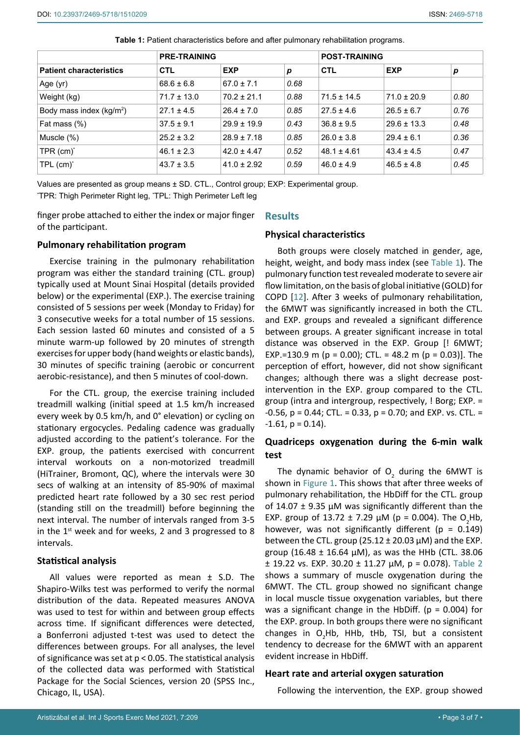|                                | <b>PRE-TRAINING</b> |                 |      | <b>POST-TRAINING</b> |                 |      |
|--------------------------------|---------------------|-----------------|------|----------------------|-----------------|------|
| <b>Patient characteristics</b> | <b>CTL</b>          | <b>EXP</b>      | p    | <b>CTL</b>           | <b>EXP</b>      | p    |
| Age (yr)                       | $68.6 \pm 6.8$      | $67.0 \pm 7.1$  | 0.68 |                      |                 |      |
| Weight (kg)                    | $71.7 \pm 13.0$     | $70.2 \pm 21.1$ | 0.88 | $71.5 \pm 14.5$      | $71.0 \pm 20.9$ | 0.80 |
| Body mass index $(kg/m2)$      | $27.1 \pm 4.5$      | $26.4 \pm 7.0$  | 0.85 | $27.5 \pm 4.6$       | $26.5 \pm 6.7$  | 0.76 |
| Fat mass (%)                   | $37.5 \pm 9.1$      | $29.9 \pm 19.9$ | 0.43 | $36.8 \pm 9.5$       | $29.6 \pm 13.3$ | 0.48 |
| Muscle $(\%)$                  | $25.2 \pm 3.2$      | $28.9 \pm 7.18$ | 0.85 | $26.0 \pm 3.8$       | $29.4 \pm 6.1$  | 0.36 |
| TPR $(cm)^*$                   | $46.1 \pm 2.3$      | $42.0 \pm 4.47$ | 0.52 | $48.1 \pm 4.61$      | $43.4 \pm 4.5$  | 0.47 |
| $TPL$ (cm) <sup>*</sup>        | $43.7 \pm 3.5$      | $41.0 \pm 2.92$ | 0.59 | $46.0 \pm 4.9$       | $46.5 \pm 4.8$  | 0.45 |

<span id="page-2-0"></span>**Table 1:** Patient characteristics before and after pulmonary rehabilitation programs.

Values are presented as group means ± SD. CTL., Control group; EXP: Experimental group. \* TPR: Thigh Perimeter Right leg, \* TPL: Thigh Perimeter Left leg

finger probe attached to either the index or major finger of the participant.

#### **Results**

### **Pulmonary rehabilitation program**

Exercise training in the pulmonary rehabilitation program was either the standard training (CTL. group) typically used at Mount Sinai Hospital (details provided below) or the experimental (EXP.). The exercise training consisted of 5 sessions per week (Monday to Friday) for 3 consecutive weeks for a total number of 15 sessions. Each session lasted 60 minutes and consisted of a 5 minute warm-up followed by 20 minutes of strength exercises for upper body (hand weights or elastic bands), 30 minutes of specific training (aerobic or concurrent aerobic-resistance), and then 5 minutes of cool-down.

For the CTL. group, the exercise training included treadmill walking (initial speed at 1.5 km/h increased every week by 0.5 km/h, and 0° elevation) or cycling on stationary ergocycles. Pedaling cadence was gradually adjusted according to the patient's tolerance. For the EXP. group, the patients exercised with concurrent interval workouts on a non-motorized treadmill (HiTrainer, Bromont, QC), where the intervals were 30 secs of walking at an intensity of 85-90% of maximal predicted heart rate followed by a 30 sec rest period (standing still on the treadmill) before beginning the next interval. The number of intervals ranged from 3-5 in the  $1<sup>st</sup>$  week and for weeks, 2 and 3 progressed to 8 intervals.

# **Statistical analysis**

All values were reported as mean  $\pm$  S.D. The Shapiro-Wilks test was performed to verify the normal distribution of the data. Repeated measures ANOVA was used to test for within and between group effects across time. If significant differences were detected, a Bonferroni adjusted t-test was used to detect the differences between groups. For all analyses, the level of significance was set at  $p < 0.05$ . The statistical analysis of the collected data was performed with Statistical Package for the Social Sciences, version 20 (SPSS Inc., Chicago, IL, USA).

# **Physical characteristics**

Both groups were closely matched in gender, age, height, weight, and body mass index (see [Table 1](#page-2-0)). The pulmonary function test revealed moderate to severe air flow limitation, on the basis of global initiative (GOLD) for COPD [\[12](#page-6-13)]. After 3 weeks of pulmonary rehabilitation, the 6MWT was significantly increased in both the CTL. and EXP. groups and revealed a significant difference between groups. A greater significant increase in total distance was observed in the EXP. Group [! 6MWT; EXP.=130.9 m ( $p = 0.00$ ); CTL. = 48.2 m ( $p = 0.03$ )]. The perception of effort, however, did not show significant changes; although there was a slight decrease postintervention in the EXP. group compared to the CTL. group (intra and intergroup, respectively, ! Borg; EXP. = -0.56, p = 0.44; CTL. = 0.33, p = 0.70; and EXP. vs. CTL. =  $-1.61$ ,  $p = 0.14$ ).

# **Quadriceps oxygenation during the 6-min walk test**

The dynamic behavior of  $O<sub>2</sub>$  during the 6MWT is shown in [Figure 1](#page-3-0). This shows that after three weeks of pulmonary rehabilitation, the HbDiff for the CTL. group of 14.07  $\pm$  9.35 µM was significantly different than the EXP. group of  $13.72 \pm 7.29 \mu M$  (p = 0.004). The O<sub>2</sub>Hb, however, was not significantly different ( $p = 0.149$ ) between the CTL. group  $(25.12 \pm 20.03 \,\mu\text{M})$  and the EXP. group (16.48  $\pm$  16.64  $\mu$ M), as was the HHb (CTL. 38.06  $\pm$  19.22 vs. EXP. 30.20  $\pm$  11.27  $\mu$ M, p = 0.078). [Table 2](#page-3-1) shows a summary of muscle oxygenation during the 6MWT. The CTL. group showed no significant change in local muscle tissue oxygenation variables, but there was a significant change in the HbDiff. ( $p = 0.004$ ) for the EXP. group. In both groups there were no significant changes in  $O_2$ Hb, HHb, tHb, TSI, but a consistent tendency to decrease for the 6MWT with an apparent evident increase in HbDiff.

#### **Heart rate and arterial oxygen saturation**

Following the intervention, the EXP. group showed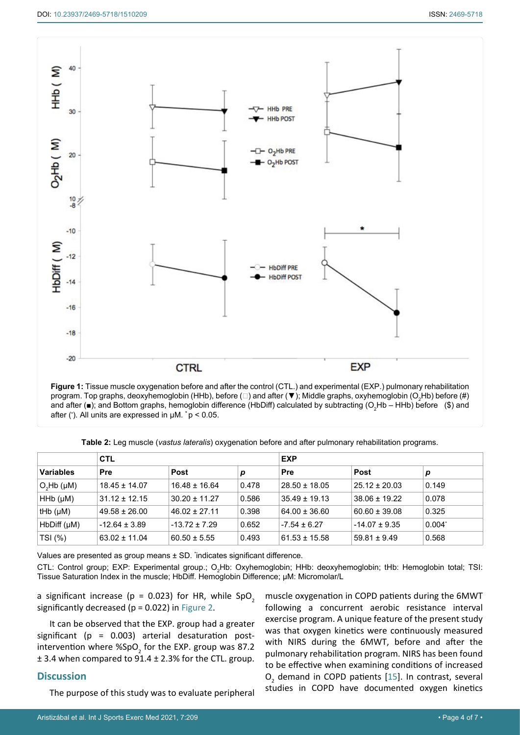<span id="page-3-0"></span>

**Figure 1:** Tissue muscle oxygenation before and after the control (CTL.) and experimental (EXP.) pulmonary rehabilitation program. Top graphs, deoxyhemoglobin (HHb), before (□) and after (▼); Middle graphs, oxyhemoglobin (O<sub>2</sub>Hb) before (#) and after (■); and Bottom graphs, hemoglobin difference (HbDiff) calculated by subtracting (O<sub>2</sub>Hb – HHb) before (\$) and after (• ). All units are expressed in μM. **\*** p < 0.05.

<span id="page-3-1"></span>**Table 2:** Leg muscle (*vastus lateralis*) oxygenation before and after pulmonary rehabilitation programs.

|                    | <b>CTL</b>        |                   |       | <b>EXP</b>        |                   |           |  |
|--------------------|-------------------|-------------------|-------|-------------------|-------------------|-----------|--|
| <b>Variables</b>   | Pre               | <b>Post</b>       | р     | Pre               | Post              | р         |  |
| $O_2Hb$ ( $\mu$ M) | $18.45 \pm 14.07$ | $16.48 \pm 16.64$ | 0.478 | $28.50 \pm 18.05$ | $25.12 \pm 20.03$ | 0.149     |  |
| $HHb$ ( $\mu$ M)   | $31.12 \pm 12.15$ | $30.20 \pm 11.27$ | 0.586 | $35.49 \pm 19.13$ | $38.06 \pm 19.22$ | 0.078     |  |
| tHb $(\mu M)$      | $49.58 \pm 26.00$ | $46.02 \pm 27.11$ | 0.398 | $64.00 \pm 36.60$ | $60.60 \pm 39.08$ | 0.325     |  |
| $HbDiff(\mu M)$    | $-12.64 \pm 3.89$ | $-13.72 \pm 7.29$ | 0.652 | $-7.54 \pm 6.27$  | $-14.07 \pm 9.35$ | $0.004^*$ |  |
| TSI (%)            | $63.02 \pm 11.04$ | $60.50 \pm 5.55$  | 0.493 | $61.53 \pm 15.58$ | $59.81 \pm 9.49$  | 0.568     |  |

Values are presented as group means ± SD. \* indicates significant difference.

CTL: Control group; EXP: Experimental group.; O<sub>2</sub>Hb: Oxyhemoglobin; HHb: deoxyhemoglobin; tHb: Hemoglobin total; TSI: Tissue Saturation Index in the muscle; HbDiff. Hemoglobin Difference; µM: Micromolar/L

a significant increase ( $p = 0.023$ ) for HR, while SpO<sub>2</sub> significantly decreased ( $p = 0.022$ ) in [Figure 2.](#page-4-0)

It can be observed that the EXP. group had a greater significant ( $p = 0.003$ ) arterial desaturation postintervention where %SpO<sub>2</sub> for the EXP. group was 87.2 ± 3.4 when compared to 91.4 ± 2.3% for the CTL. group.

# **Discussion**

The purpose of this study was to evaluate peripheral

muscle oxygenation in COPD patients during the 6MWT following a concurrent aerobic resistance interval exercise program. A unique feature of the present study was that oxygen kinetics were continuously measured with NIRS during the 6MWT, before and after the pulmonary rehabilitation program. NIRS has been found to be effective when examining conditions of increased  $O<sub>2</sub>$  demand in COPD patients [[15](#page-6-14)]. In contrast, several studies in COPD have documented oxygen kinetics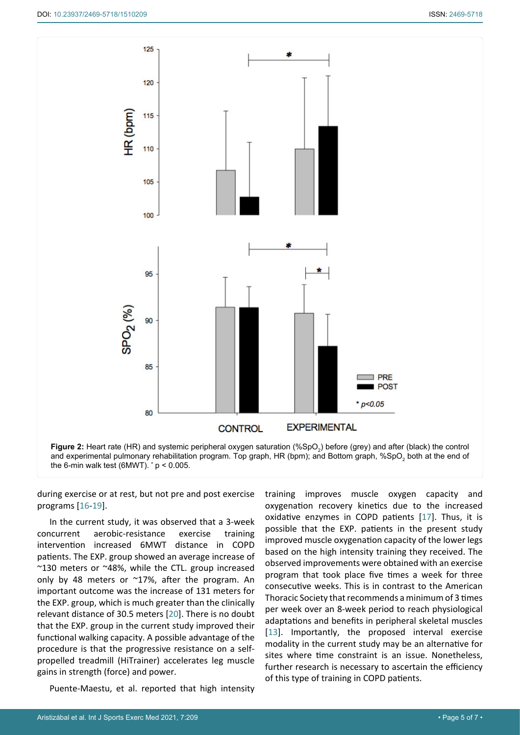<span id="page-4-0"></span>

during exercise or at rest, but not pre and post exercise programs [\[16](#page-6-16)-[19\]](#page-6-17).

In the current study, it was observed that a 3-week concurrent aerobic-resistance exercise training intervention increased 6MWT distance in COPD patients. The EXP. group showed an average increase of ~130 meters or ~48%, while the CTL. group increased only by 48 meters or ~17%, after the program. An important outcome was the increase of 131 meters for the EXP. group, which is much greater than the clinically relevant distance of 30.5 meters [\[20](#page-6-18)]. There is no doubt that the EXP. group in the current study improved their functional walking capacity. A possible advantage of the procedure is that the progressive resistance on a selfpropelled treadmill (HiTrainer) accelerates leg muscle gains in strength (force) and power.

Puente-Maestu, et al. reported that high intensity

training improves muscle oxygen capacity and oxygenation recovery kinetics due to the increased oxidative enzymes in COPD patients [[17](#page-6-15)]. Thus, it is possible that the EXP. patients in the present study improved muscle oxygenation capacity of the lower legs based on the high intensity training they received. The observed improvements were obtained with an exercise program that took place five times a week for three consecutive weeks. This is in contrast to the American Thoracic Society that recommends a minimum of 3 times per week over an 8-week period to reach physiological adaptations and benefits in peripheral skeletal muscles [\[13](#page-6-3)]. Importantly, the proposed interval exercise modality in the current study may be an alternative for sites where time constraint is an issue. Nonetheless, further research is necessary to ascertain the efficiency of this type of training in COPD patients.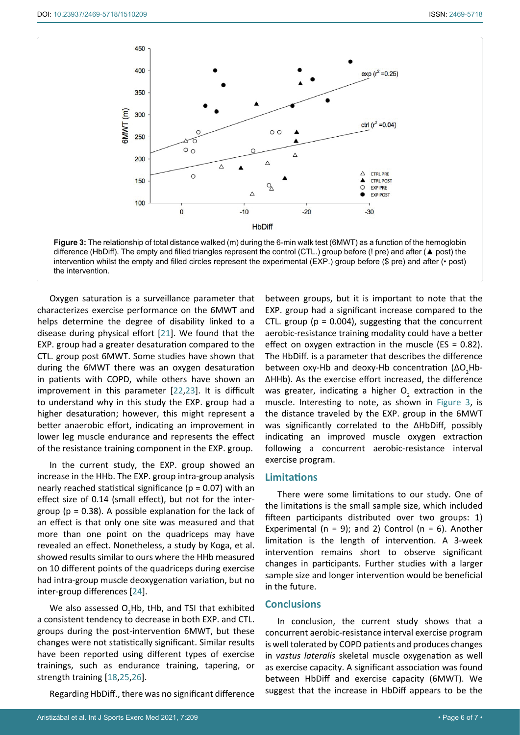<span id="page-5-0"></span>

Oxygen saturation is a surveillance parameter that characterizes exercise performance on the 6MWT and helps determine the degree of disability linked to a disease during physical effort [\[21](#page-6-19)]. We found that the EXP. group had a greater desaturation compared to the CTL. group post 6MWT. Some studies have shown that during the 6MWT there was an oxygen desaturation in patients with COPD, while others have shown an improvement in this parameter [[22](#page-6-20)[,23\]](#page-6-21). It is difficult to understand why in this study the EXP. group had a higher desaturation; however, this might represent a better anaerobic effort, indicating an improvement in lower leg muscle endurance and represents the effect of the resistance training component in the EXP. group.

In the current study, the EXP. group showed an increase in the HHb. The EXP. group intra-group analysis nearly reached statistical significance ( $p = 0.07$ ) with an effect size of 0.14 (small effect), but not for the intergroup ( $p = 0.38$ ). A possible explanation for the lack of an effect is that only one site was measured and that more than one point on the quadriceps may have revealed an effect. Nonetheless, a study by Koga, et al. showed results similar to ours where the HHb measured on 10 different points of the quadriceps during exercise had intra-group muscle deoxygenation variation, but no inter-group differences [[24\]](#page-6-22).

We also assessed  $O_2$ Hb, tHb, and TSI that exhibited a consistent tendency to decrease in both EXP. and CTL. groups during the post-intervention 6MWT, but these changes were not statistically significant. Similar results have been reported using different types of exercise trainings, such as endurance training, tapering, or strength training [\[18](#page-6-23)[,25](#page-6-24),[26](#page-6-25)].

Regarding HbDiff., there was no significant difference

between groups, but it is important to note that the EXP. group had a significant increase compared to the CTL. group ( $p = 0.004$ ), suggesting that the concurrent aerobic-resistance training modality could have a better effect on oxygen extraction in the muscle ( $ES = 0.82$ ). The HbDiff. is a parameter that describes the difference between oxy-Hb and deoxy-Hb concentration (ΔO<sub>2</sub>Hb-ΔHHb). As the exercise effort increased, the difference was greater, indicating a higher  $O_2$  extraction in the muscle. Interesting to note, as shown in [Figure 3](#page-5-0), is the distance traveled by the EXP. group in the 6MWT was significantly correlated to the ΔHbDiff, possibly indicating an improved muscle oxygen extraction following a concurrent aerobic-resistance interval exercise program.

#### **Limitations**

There were some limitations to our study. One of the limitations is the small sample size, which included fifteen participants distributed over two groups: 1) Experimental ( $n = 9$ ); and 2) Control ( $n = 6$ ). Another limitation is the length of intervention. A 3-week intervention remains short to observe significant changes in participants. Further studies with a larger sample size and longer intervention would be beneficial in the future.

# **Conclusions**

In conclusion, the current study shows that a concurrent aerobic-resistance interval exercise program is well tolerated by COPD patients and produces changes in *vastus lateralis* skeletal muscle oxygenation as well as exercise capacity. A significant association was found between HbDiff and exercise capacity (6MWT). We suggest that the increase in HbDiff appears to be the